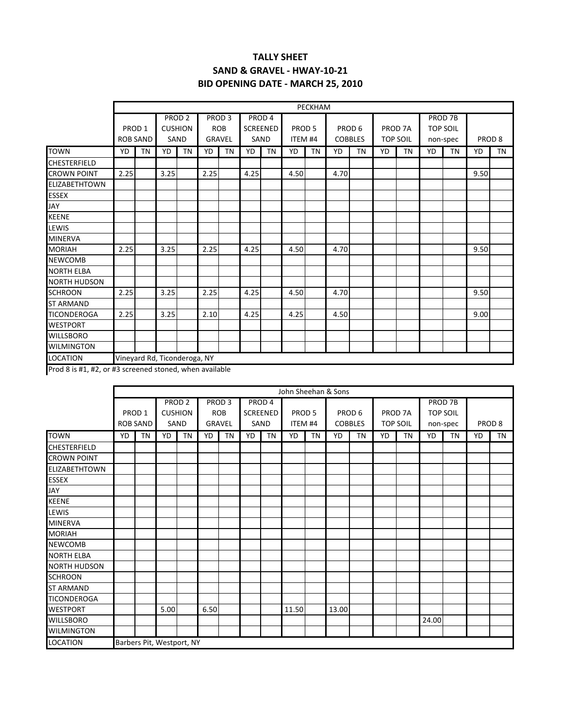## **TALLY SHEET SAND & GRAVEL - HWAY-10-21 BID OPENING DATE - MARCH 25, 2010**

|                      |                   |           |                              |                   |            |                   |      |                 |                    | PECKHAM   |                   |           |    |                    |    |                 |                   |           |
|----------------------|-------------------|-----------|------------------------------|-------------------|------------|-------------------|------|-----------------|--------------------|-----------|-------------------|-----------|----|--------------------|----|-----------------|-------------------|-----------|
|                      |                   |           |                              | PROD <sub>2</sub> |            | PROD <sub>3</sub> |      | PROD 4          |                    |           |                   |           |    |                    |    | PROD 7B         |                   |           |
|                      | PROD <sub>1</sub> |           | <b>CUSHION</b>               |                   | <b>ROB</b> |                   |      | <b>SCREENED</b> | PROD <sub>5</sub>  |           | PROD <sub>6</sub> |           |    | PROD <sub>7A</sub> |    | <b>TOP SOIL</b> |                   |           |
|                      | <b>ROB SAND</b>   |           | SAND                         |                   | GRAVEL     |                   | SAND |                 | ITEM <sub>#4</sub> |           | <b>COBBLES</b>    |           |    | <b>TOP SOIL</b>    |    | non-spec        | PROD <sub>8</sub> |           |
| <b>TOWN</b>          | YD                | <b>TN</b> | YD                           | <b>TN</b>         | <b>YD</b>  | <b>TN</b>         | YD   | <b>TN</b>       | YD                 | <b>TN</b> | YD                | <b>TN</b> | YD | <b>TN</b>          | YD | <b>TN</b>       | YD                | <b>TN</b> |
| <b>CHESTERFIELD</b>  |                   |           |                              |                   |            |                   |      |                 |                    |           |                   |           |    |                    |    |                 |                   |           |
| <b>CROWN POINT</b>   | 2.25              |           | 3.25                         |                   | 2.25       |                   | 4.25 |                 | 4.50               |           | 4.70              |           |    |                    |    |                 | 9.50              |           |
| <b>ELIZABETHTOWN</b> |                   |           |                              |                   |            |                   |      |                 |                    |           |                   |           |    |                    |    |                 |                   |           |
| <b>ESSEX</b>         |                   |           |                              |                   |            |                   |      |                 |                    |           |                   |           |    |                    |    |                 |                   |           |
| <b>JAY</b>           |                   |           |                              |                   |            |                   |      |                 |                    |           |                   |           |    |                    |    |                 |                   |           |
| <b>KEENE</b>         |                   |           |                              |                   |            |                   |      |                 |                    |           |                   |           |    |                    |    |                 |                   |           |
| LEWIS                |                   |           |                              |                   |            |                   |      |                 |                    |           |                   |           |    |                    |    |                 |                   |           |
| <b>MINERVA</b>       |                   |           |                              |                   |            |                   |      |                 |                    |           |                   |           |    |                    |    |                 |                   |           |
| <b>MORIAH</b>        | 2.25              |           | 3.25                         |                   | 2.25       |                   | 4.25 |                 | 4.50               |           | 4.70              |           |    |                    |    |                 | 9.50              |           |
| <b>NEWCOMB</b>       |                   |           |                              |                   |            |                   |      |                 |                    |           |                   |           |    |                    |    |                 |                   |           |
| <b>NORTH ELBA</b>    |                   |           |                              |                   |            |                   |      |                 |                    |           |                   |           |    |                    |    |                 |                   |           |
| <b>NORTH HUDSON</b>  |                   |           |                              |                   |            |                   |      |                 |                    |           |                   |           |    |                    |    |                 |                   |           |
| <b>SCHROON</b>       | 2.25              |           | 3.25                         |                   | 2.25       |                   | 4.25 |                 | 4.50               |           | 4.70              |           |    |                    |    |                 | 9.50              |           |
| <b>ST ARMAND</b>     |                   |           |                              |                   |            |                   |      |                 |                    |           |                   |           |    |                    |    |                 |                   |           |
| <b>TICONDEROGA</b>   | 2.25              |           | 3.25                         |                   | 2.10       |                   | 4.25 |                 | 4.25               |           | 4.50              |           |    |                    |    |                 | 9.00              |           |
| <b>WESTPORT</b>      |                   |           |                              |                   |            |                   |      |                 |                    |           |                   |           |    |                    |    |                 |                   |           |
| <b>WILLSBORO</b>     |                   |           |                              |                   |            |                   |      |                 |                    |           |                   |           |    |                    |    |                 |                   |           |
| <b>WILMINGTON</b>    |                   |           |                              |                   |            |                   |      |                 |                    |           |                   |           |    |                    |    |                 |                   |           |
| <b>LOCATION</b>      |                   |           | Vineyard Rd, Ticonderoga, NY |                   |            |                   |      |                 |                    |           |                   |           |    |                    |    |                 |                   |           |

Prod 8 is #1, #2, or #3 screened stoned, when available

|                      |    |                           |      |                   |      |                   |    |                   |                   |           | John Sheehan & Sons |                   |    |                    |       |                 |    |                   |
|----------------------|----|---------------------------|------|-------------------|------|-------------------|----|-------------------|-------------------|-----------|---------------------|-------------------|----|--------------------|-------|-----------------|----|-------------------|
|                      |    |                           |      | PROD <sub>2</sub> |      | PROD <sub>3</sub> |    | PROD <sub>4</sub> |                   |           |                     |                   |    |                    |       | PROD 7B         |    |                   |
|                      |    | PROD <sub>1</sub>         |      | <b>CUSHION</b>    |      | ROB               |    | SCREENED          | PROD <sub>5</sub> |           |                     | PROD <sub>6</sub> |    | PROD <sub>7A</sub> |       | <b>TOP SOIL</b> |    |                   |
|                      |    | <b>ROB SAND</b>           |      | SAND              |      | GRAVEL            |    | SAND              | ITEM #4           |           |                     | <b>COBBLES</b>    |    | <b>TOP SOIL</b>    |       | non-spec        |    | PROD <sub>8</sub> |
| <b>TOWN</b>          | YD | <b>TN</b>                 | YD   | <b>TN</b>         | YD   | <b>TN</b>         | YD | <b>TN</b>         | YD                | <b>TN</b> | YD                  | <b>TN</b>         | YD | <b>TN</b>          | YD    | <b>TN</b>       | YD | <b>TN</b>         |
| <b>CHESTERFIELD</b>  |    |                           |      |                   |      |                   |    |                   |                   |           |                     |                   |    |                    |       |                 |    |                   |
| <b>CROWN POINT</b>   |    |                           |      |                   |      |                   |    |                   |                   |           |                     |                   |    |                    |       |                 |    |                   |
| <b>ELIZABETHTOWN</b> |    |                           |      |                   |      |                   |    |                   |                   |           |                     |                   |    |                    |       |                 |    |                   |
| <b>ESSEX</b>         |    |                           |      |                   |      |                   |    |                   |                   |           |                     |                   |    |                    |       |                 |    |                   |
| <b>JAY</b>           |    |                           |      |                   |      |                   |    |                   |                   |           |                     |                   |    |                    |       |                 |    |                   |
| <b>KEENE</b>         |    |                           |      |                   |      |                   |    |                   |                   |           |                     |                   |    |                    |       |                 |    |                   |
| LEWIS                |    |                           |      |                   |      |                   |    |                   |                   |           |                     |                   |    |                    |       |                 |    |                   |
| <b>MINERVA</b>       |    |                           |      |                   |      |                   |    |                   |                   |           |                     |                   |    |                    |       |                 |    |                   |
| <b>MORIAH</b>        |    |                           |      |                   |      |                   |    |                   |                   |           |                     |                   |    |                    |       |                 |    |                   |
| <b>NEWCOMB</b>       |    |                           |      |                   |      |                   |    |                   |                   |           |                     |                   |    |                    |       |                 |    |                   |
| <b>NORTH ELBA</b>    |    |                           |      |                   |      |                   |    |                   |                   |           |                     |                   |    |                    |       |                 |    |                   |
| <b>NORTH HUDSON</b>  |    |                           |      |                   |      |                   |    |                   |                   |           |                     |                   |    |                    |       |                 |    |                   |
| <b>SCHROON</b>       |    |                           |      |                   |      |                   |    |                   |                   |           |                     |                   |    |                    |       |                 |    |                   |
| <b>ST ARMAND</b>     |    |                           |      |                   |      |                   |    |                   |                   |           |                     |                   |    |                    |       |                 |    |                   |
| <b>TICONDEROGA</b>   |    |                           |      |                   |      |                   |    |                   |                   |           |                     |                   |    |                    |       |                 |    |                   |
| <b>WESTPORT</b>      |    |                           | 5.00 |                   | 6.50 |                   |    |                   | 11.50             |           | 13.00               |                   |    |                    |       |                 |    |                   |
| <b>WILLSBORO</b>     |    |                           |      |                   |      |                   |    |                   |                   |           |                     |                   |    |                    | 24.00 |                 |    |                   |
| <b>WILMINGTON</b>    |    |                           |      |                   |      |                   |    |                   |                   |           |                     |                   |    |                    |       |                 |    |                   |
| <b>LOCATION</b>      |    | Barbers Pit, Westport, NY |      |                   |      |                   |    |                   |                   |           |                     |                   |    |                    |       |                 |    |                   |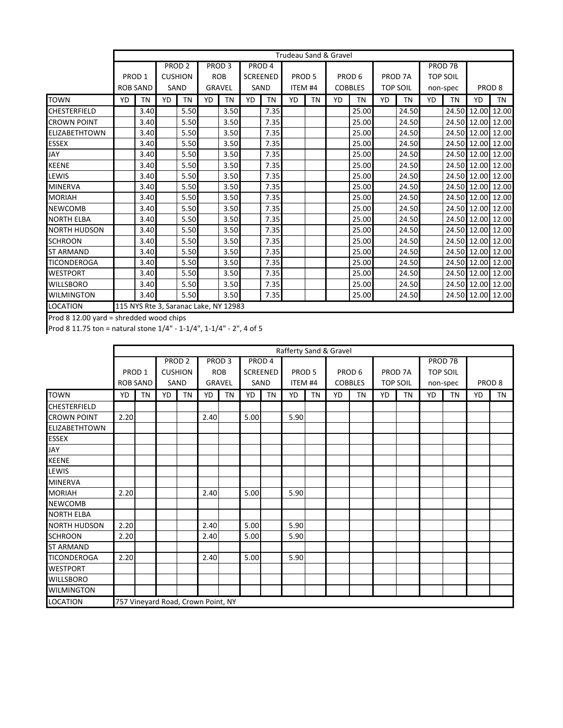|                      |                   |                 |    |                                       |               |                   |    |                   | Trudeau Sand & Gravel |           |    |                   |    |                    |    |                 |                   |           |
|----------------------|-------------------|-----------------|----|---------------------------------------|---------------|-------------------|----|-------------------|-----------------------|-----------|----|-------------------|----|--------------------|----|-----------------|-------------------|-----------|
|                      |                   |                 |    | PROD <sub>2</sub>                     |               | PROD <sub>3</sub> |    | PROD <sub>4</sub> |                       |           |    |                   |    |                    |    | PROD 7B         |                   |           |
|                      | PROD <sub>1</sub> |                 |    | <b>CUSHION</b>                        |               | <b>ROB</b>        |    | <b>SCREENED</b>   | PROD <sub>5</sub>     |           |    | PROD <sub>6</sub> |    | PROD <sub>7A</sub> |    | <b>TOP SOIL</b> |                   |           |
|                      |                   | <b>ROB SAND</b> |    | SAND                                  | <b>GRAVEL</b> |                   |    | SAND              | ITEM <sub>#4</sub>    |           |    | <b>COBBLES</b>    |    | <b>TOP SOIL</b>    |    | non-spec        | PROD <sub>8</sub> |           |
| <b>TOWN</b>          | YD                | TN              | YD | <b>TN</b>                             | <b>YD</b>     | TN                | YD | <b>TN</b>         | YD                    | <b>TN</b> | YD | <b>TN</b>         | YD | <b>TN</b>          | YD | TN              | YD                | <b>TN</b> |
| <b>CHESTERFIELD</b>  |                   | 3.40            |    | 5.50                                  |               | 3.50              |    | 7.35              |                       |           |    | 25.00             |    | 24.50              |    |                 | 24.50 12.00 12.00 |           |
| <b>CROWN POINT</b>   |                   | 3.40            |    | 5.50                                  |               | 3.50              |    | 7.35              |                       |           |    | 25.00             |    | 24.50              |    |                 | 24.50 12.00 12.00 |           |
| <b>ELIZABETHTOWN</b> |                   | 3.40            |    | 5.50                                  |               | 3.50              |    | 7.35              |                       |           |    | 25.00             |    | 24.50              |    |                 | 24.50 12.00 12.00 |           |
| <b>ESSEX</b>         |                   | 3.40            |    | 5.50                                  |               | 3.50              |    | 7.35              |                       |           |    | 25.00             |    | 24.50              |    |                 | 24.50 12.00 12.00 |           |
| <b>JAY</b>           |                   | 3.40            |    | 5.50                                  |               | 3.50              |    | 7.35              |                       |           |    | 25.00             |    | 24.50              |    |                 | 24.50 12.00 12.00 |           |
| <b>KEENE</b>         |                   | 3.40            |    | 5.50                                  |               | 3.50              |    | 7.35              |                       |           |    | 25.00             |    | 24.50              |    |                 | 24.50 12.00 12.00 |           |
| LEWIS                |                   | 3.40            |    | 5.50                                  |               | 3.50              |    | 7.35              |                       |           |    | 25.00             |    | 24.50              |    |                 | 24.50 12.00 12.00 |           |
| <b>MINERVA</b>       |                   | 3.40            |    | 5.50                                  |               | 3.50              |    | 7.35              |                       |           |    | 25.00             |    | 24.50              |    |                 | 24.50 12.00 12.00 |           |
| <b>MORIAH</b>        |                   | 3.40            |    | 5.50                                  |               | 3.50              |    | 7.35              |                       |           |    | 25.00             |    | 24.50              |    |                 | 24.50 12.00 12.00 |           |
| <b>NEWCOMB</b>       |                   | 3.40            |    | 5.50                                  |               | 3.50              |    | 7.35              |                       |           |    | 25.00             |    | 24.50              |    |                 | 24.50 12.00 12.00 |           |
| <b>NORTH ELBA</b>    |                   | 3.40            |    | 5.50                                  |               | 3.50              |    | 7.35              |                       |           |    | 25.00             |    | 24.50              |    |                 | 24.50 12.00 12.00 |           |
| <b>NORTH HUDSON</b>  |                   | 3.40            |    | 5.50                                  |               | 3.50              |    | 7.35              |                       |           |    | 25.00             |    | 24.50              |    |                 | 24.50 12.00 12.00 |           |
| <b>SCHROON</b>       |                   | 3.40            |    | 5.50                                  |               | 3.50              |    | 7.35              |                       |           |    | 25.00             |    | 24.50              |    |                 | 24.50 12.00 12.00 |           |
| <b>ST ARMAND</b>     |                   | 3.40            |    | 5.50                                  |               | 3.50              |    | 7.35              |                       |           |    | 25.00             |    | 24.50              |    |                 | 24.50 12.00 12.00 |           |
| <b>TICONDEROGA</b>   |                   | 3.40            |    | 5.50                                  |               | 3.50              |    | 7.35              |                       |           |    | 25.00             |    | 24.50              |    |                 | 24.50 12.00 12.00 |           |
| <b>WESTPORT</b>      |                   | 3.40            |    | 5.50                                  |               | 3.50              |    | 7.35              |                       |           |    | 25.00             |    | 24.50              |    |                 | 24.50 12.00 12.00 |           |
| <b>WILLSBORO</b>     |                   | 3.40            |    | 5.50                                  |               | 3.50              |    | 7.35              |                       |           |    | 25.00             |    | 24.50              |    |                 | 24.50 12.00 12.00 |           |
| <b>WILMINGTON</b>    |                   | 3.40            |    | 5.50                                  |               | 3.50              |    | 7.35              |                       |           |    | 25.00             |    | 24.50              |    |                 | 24.50 12.00 12.00 |           |
| <b>LOCATION</b>      |                   |                 |    | 115 NYS Rte 3, Saranac Lake, NY 12983 |               |                   |    |                   |                       |           |    |                   |    |                    |    |                 |                   |           |

Prod 8 12.00 yard = shredded wood chips

Prod 8 11.75 ton = natural stone 1/4" - 1-1/4", 1-1/4" - 2", 4 of 5

|                      |                   |           |    |                   |                                    |           |                   |           | Rafferty Sand & Gravel |           |    |                   |    |                    |    |                    |                   |           |
|----------------------|-------------------|-----------|----|-------------------|------------------------------------|-----------|-------------------|-----------|------------------------|-----------|----|-------------------|----|--------------------|----|--------------------|-------------------|-----------|
|                      |                   |           |    | PROD <sub>2</sub> | PROD <sub>3</sub>                  |           | PROD <sub>4</sub> |           |                        |           |    |                   |    |                    |    | PROD <sub>7B</sub> |                   |           |
|                      | PROD <sub>1</sub> |           |    | <b>CUSHION</b>    | <b>ROB</b>                         |           | SCREENED          |           | PROD <sub>5</sub>      |           |    | PROD <sub>6</sub> |    | PROD <sub>7A</sub> |    | <b>TOP SOIL</b>    |                   |           |
|                      | <b>ROB SAND</b>   |           |    | SAND              | GRAVEL                             |           | SAND              |           | ITEM #4                |           |    | <b>COBBLES</b>    |    | <b>TOP SOIL</b>    |    | non-spec           | PROD <sub>8</sub> |           |
| <b>TOWN</b>          | YD                | <b>TN</b> | YD | <b>TN</b>         | YD                                 | <b>TN</b> | YD                | <b>TN</b> | YD                     | <b>TN</b> | YD | <b>TN</b>         | YD | <b>TN</b>          | YD | <b>TN</b>          | YD                | <b>TN</b> |
| <b>CHESTERFIELD</b>  |                   |           |    |                   |                                    |           |                   |           |                        |           |    |                   |    |                    |    |                    |                   |           |
| <b>CROWN POINT</b>   | 2.20              |           |    |                   | 2.40                               |           | 5.00              |           | 5.90                   |           |    |                   |    |                    |    |                    |                   |           |
| <b>ELIZABETHTOWN</b> |                   |           |    |                   |                                    |           |                   |           |                        |           |    |                   |    |                    |    |                    |                   |           |
| <b>ESSEX</b>         |                   |           |    |                   |                                    |           |                   |           |                        |           |    |                   |    |                    |    |                    |                   |           |
| <b>JAY</b>           |                   |           |    |                   |                                    |           |                   |           |                        |           |    |                   |    |                    |    |                    |                   |           |
| <b>KEENE</b>         |                   |           |    |                   |                                    |           |                   |           |                        |           |    |                   |    |                    |    |                    |                   |           |
| LEWIS                |                   |           |    |                   |                                    |           |                   |           |                        |           |    |                   |    |                    |    |                    |                   |           |
| <b>MINERVA</b>       |                   |           |    |                   |                                    |           |                   |           |                        |           |    |                   |    |                    |    |                    |                   |           |
| <b>MORIAH</b>        | 2.20              |           |    |                   | 2.40                               |           | 5.00              |           | 5.90                   |           |    |                   |    |                    |    |                    |                   |           |
| <b>NEWCOMB</b>       |                   |           |    |                   |                                    |           |                   |           |                        |           |    |                   |    |                    |    |                    |                   |           |
| <b>NORTH ELBA</b>    |                   |           |    |                   |                                    |           |                   |           |                        |           |    |                   |    |                    |    |                    |                   |           |
| <b>NORTH HUDSON</b>  | 2.20              |           |    |                   | 2.40                               |           | 5.00              |           | 5.90                   |           |    |                   |    |                    |    |                    |                   |           |
| <b>SCHROON</b>       | 2.20              |           |    |                   | 2.40                               |           | 5.00              |           | 5.90                   |           |    |                   |    |                    |    |                    |                   |           |
| <b>ST ARMAND</b>     |                   |           |    |                   |                                    |           |                   |           |                        |           |    |                   |    |                    |    |                    |                   |           |
| <b>TICONDEROGA</b>   | 2.20              |           |    |                   | 2.40                               |           | 5.00              |           | 5.90                   |           |    |                   |    |                    |    |                    |                   |           |
| <b>WESTPORT</b>      |                   |           |    |                   |                                    |           |                   |           |                        |           |    |                   |    |                    |    |                    |                   |           |
| <b>WILLSBORO</b>     |                   |           |    |                   |                                    |           |                   |           |                        |           |    |                   |    |                    |    |                    |                   |           |
| <b>WILMINGTON</b>    |                   |           |    |                   |                                    |           |                   |           |                        |           |    |                   |    |                    |    |                    |                   |           |
| <b>LOCATION</b>      |                   |           |    |                   | 757 Vineyard Road, Crown Point, NY |           |                   |           |                        |           |    |                   |    |                    |    |                    |                   |           |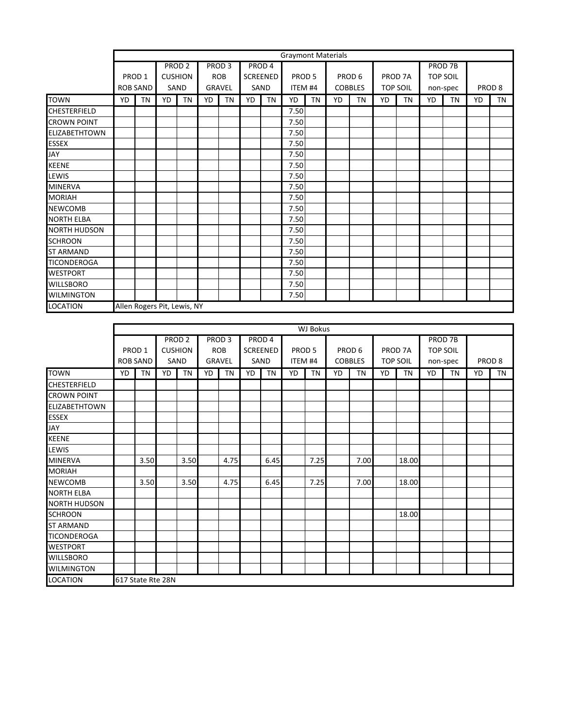|                      |    |                   |    |                             |    |                   |    |                   | <b>Graymont Materials</b> |           |    |                   |    |                    |    |                    |    |                   |
|----------------------|----|-------------------|----|-----------------------------|----|-------------------|----|-------------------|---------------------------|-----------|----|-------------------|----|--------------------|----|--------------------|----|-------------------|
|                      |    |                   |    | PROD <sub>2</sub>           |    | PROD <sub>3</sub> |    | PROD <sub>4</sub> |                           |           |    |                   |    |                    |    | PROD <sub>7B</sub> |    |                   |
|                      |    | PROD <sub>1</sub> |    | <b>CUSHION</b>              |    | <b>ROB</b>        |    | SCREENED          | PROD <sub>5</sub>         |           |    | PROD <sub>6</sub> |    | PROD <sub>7A</sub> |    | <b>TOP SOIL</b>    |    |                   |
|                      |    | <b>ROB SAND</b>   |    | SAND                        |    | GRAVEL            |    | SAND              | ITEM #4                   |           |    | <b>COBBLES</b>    |    | <b>TOP SOIL</b>    |    | non-spec           |    | PROD <sub>8</sub> |
| <b>TOWN</b>          | YD | <b>TN</b>         | YD | <b>TN</b>                   | YD | <b>TN</b>         | YD | TN                | YD                        | <b>TN</b> | YD | <b>TN</b>         | YD | <b>TN</b>          | YD | <b>TN</b>          | YD | <b>TN</b>         |
| <b>CHESTERFIELD</b>  |    |                   |    |                             |    |                   |    |                   | 7.50                      |           |    |                   |    |                    |    |                    |    |                   |
| <b>CROWN POINT</b>   |    |                   |    |                             |    |                   |    |                   | 7.50                      |           |    |                   |    |                    |    |                    |    |                   |
| <b>ELIZABETHTOWN</b> |    |                   |    |                             |    |                   |    |                   | 7.50                      |           |    |                   |    |                    |    |                    |    |                   |
| <b>ESSEX</b>         |    |                   |    |                             |    |                   |    |                   | 7.50                      |           |    |                   |    |                    |    |                    |    |                   |
| <b>JAY</b>           |    |                   |    |                             |    |                   |    |                   | 7.50                      |           |    |                   |    |                    |    |                    |    |                   |
| <b>KEENE</b>         |    |                   |    |                             |    |                   |    |                   | 7.50                      |           |    |                   |    |                    |    |                    |    |                   |
| LEWIS                |    |                   |    |                             |    |                   |    |                   | 7.50                      |           |    |                   |    |                    |    |                    |    |                   |
| <b>MINERVA</b>       |    |                   |    |                             |    |                   |    |                   | 7.50                      |           |    |                   |    |                    |    |                    |    |                   |
| <b>MORIAH</b>        |    |                   |    |                             |    |                   |    |                   | 7.50                      |           |    |                   |    |                    |    |                    |    |                   |
| <b>NEWCOMB</b>       |    |                   |    |                             |    |                   |    |                   | 7.50                      |           |    |                   |    |                    |    |                    |    |                   |
| <b>NORTH ELBA</b>    |    |                   |    |                             |    |                   |    |                   | 7.50                      |           |    |                   |    |                    |    |                    |    |                   |
| <b>NORTH HUDSON</b>  |    |                   |    |                             |    |                   |    |                   | 7.50                      |           |    |                   |    |                    |    |                    |    |                   |
| <b>SCHROON</b>       |    |                   |    |                             |    |                   |    |                   | 7.50                      |           |    |                   |    |                    |    |                    |    |                   |
| <b>ST ARMAND</b>     |    |                   |    |                             |    |                   |    |                   | 7.50                      |           |    |                   |    |                    |    |                    |    |                   |
| <b>TICONDEROGA</b>   |    |                   |    |                             |    |                   |    |                   | 7.50                      |           |    |                   |    |                    |    |                    |    |                   |
| <b>WESTPORT</b>      |    |                   |    |                             |    |                   |    |                   | 7.50                      |           |    |                   |    |                    |    |                    |    |                   |
| <b>WILLSBORO</b>     |    |                   |    |                             |    |                   |    |                   | 7.50                      |           |    |                   |    |                    |    |                    |    |                   |
| <b>WILMINGTON</b>    |    |                   |    |                             |    |                   |    |                   | 7.50                      |           |    |                   |    |                    |    |                    |    |                   |
| <b>LOCATION</b>      |    |                   |    | Allen Rogers Pit, Lewis, NY |    |                   |    |                   |                           |           |    |                   |    |                    |    |                    |    |                   |

|                      |                   |                   |    |                   |    |                   |    |                   |                   | WJ Bokus |                   |                |    |                    |    |                 |    |                   |
|----------------------|-------------------|-------------------|----|-------------------|----|-------------------|----|-------------------|-------------------|----------|-------------------|----------------|----|--------------------|----|-----------------|----|-------------------|
|                      |                   |                   |    | PROD <sub>2</sub> |    | PROD <sub>3</sub> |    | PROD <sub>4</sub> |                   |          |                   |                |    |                    |    | PROD 7B         |    |                   |
|                      | PROD <sub>1</sub> |                   |    | <b>CUSHION</b>    |    | ROB               |    | SCREENED          | PROD <sub>5</sub> |          | PROD <sub>6</sub> |                |    | PROD <sub>7A</sub> |    | <b>TOP SOIL</b> |    |                   |
|                      |                   | <b>ROB SAND</b>   |    | SAND              |    | GRAVEL            |    | SAND              | ITEM #4           |          |                   | <b>COBBLES</b> |    | <b>TOP SOIL</b>    |    | non-spec        |    | PROD <sub>8</sub> |
| <b>TOWN</b>          | YD                | <b>TN</b>         | YD | <b>TN</b>         | YD | TN                | YD | <b>TN</b>         | YD                | ΤN       | YD                | <b>TN</b>      | YD | <b>TN</b>          | YD | TN              | YD | <b>TN</b>         |
| <b>CHESTERFIELD</b>  |                   |                   |    |                   |    |                   |    |                   |                   |          |                   |                |    |                    |    |                 |    |                   |
| <b>CROWN POINT</b>   |                   |                   |    |                   |    |                   |    |                   |                   |          |                   |                |    |                    |    |                 |    |                   |
| <b>ELIZABETHTOWN</b> |                   |                   |    |                   |    |                   |    |                   |                   |          |                   |                |    |                    |    |                 |    |                   |
| <b>ESSEX</b>         |                   |                   |    |                   |    |                   |    |                   |                   |          |                   |                |    |                    |    |                 |    |                   |
| JAY                  |                   |                   |    |                   |    |                   |    |                   |                   |          |                   |                |    |                    |    |                 |    |                   |
| <b>KEENE</b>         |                   |                   |    |                   |    |                   |    |                   |                   |          |                   |                |    |                    |    |                 |    |                   |
| LEWIS                |                   |                   |    |                   |    |                   |    |                   |                   |          |                   |                |    |                    |    |                 |    |                   |
| <b>MINERVA</b>       |                   | 3.50              |    | 3.50              |    | 4.75              |    | 6.45              |                   | 7.25     |                   | 7.00           |    | 18.00              |    |                 |    |                   |
| <b>MORIAH</b>        |                   |                   |    |                   |    |                   |    |                   |                   |          |                   |                |    |                    |    |                 |    |                   |
| <b>NEWCOMB</b>       |                   | 3.50              |    | 3.50              |    | 4.75              |    | 6.45              |                   | 7.25     |                   | 7.00           |    | 18.00              |    |                 |    |                   |
| <b>NORTH ELBA</b>    |                   |                   |    |                   |    |                   |    |                   |                   |          |                   |                |    |                    |    |                 |    |                   |
| <b>NORTH HUDSON</b>  |                   |                   |    |                   |    |                   |    |                   |                   |          |                   |                |    |                    |    |                 |    |                   |
| <b>SCHROON</b>       |                   |                   |    |                   |    |                   |    |                   |                   |          |                   |                |    | 18.00              |    |                 |    |                   |
| <b>ST ARMAND</b>     |                   |                   |    |                   |    |                   |    |                   |                   |          |                   |                |    |                    |    |                 |    |                   |
| <b>TICONDEROGA</b>   |                   |                   |    |                   |    |                   |    |                   |                   |          |                   |                |    |                    |    |                 |    |                   |
| <b>WESTPORT</b>      |                   |                   |    |                   |    |                   |    |                   |                   |          |                   |                |    |                    |    |                 |    |                   |
| <b>WILLSBORO</b>     |                   |                   |    |                   |    |                   |    |                   |                   |          |                   |                |    |                    |    |                 |    |                   |
| <b>WILMINGTON</b>    |                   |                   |    |                   |    |                   |    |                   |                   |          |                   |                |    |                    |    |                 |    |                   |
| <b>LOCATION</b>      |                   | 617 State Rte 28N |    |                   |    |                   |    |                   |                   |          |                   |                |    |                    |    |                 |    |                   |